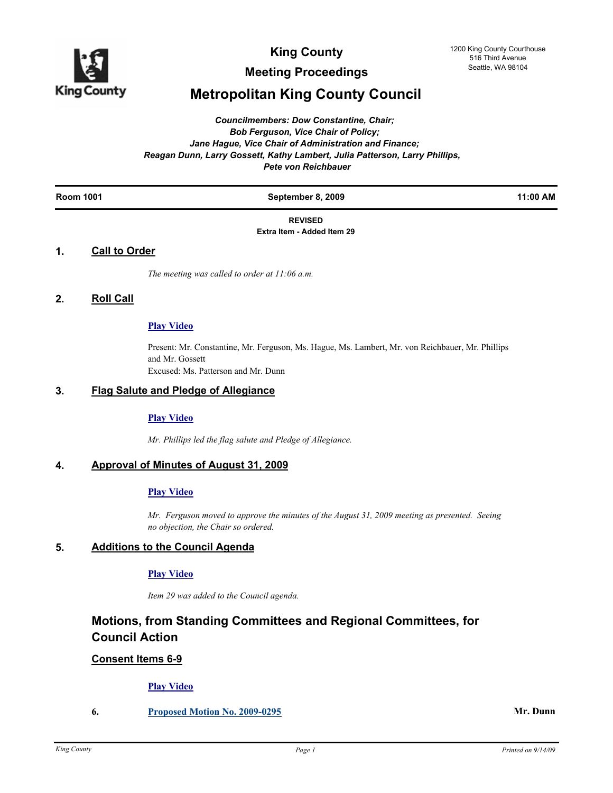

**Meeting Proceedings**

# **Metropolitan King County Council**

*Councilmembers: Dow Constantine, Chair; Bob Ferguson, Vice Chair of Policy; Jane Hague, Vice Chair of Administration and Finance; Reagan Dunn, Larry Gossett, Kathy Lambert, Julia Patterson, Larry Phillips, Pete von Reichbauer*

| $.1:00 A$ <sup>N</sup><br>$\sim$ |
|----------------------------------|
|----------------------------------|

#### **REVISED Extra Item - Added Item 29**

# **1. Call to Order**

*The meeting was called to order at 11:06 a.m.*

# **2. Roll Call**

# **[Play Video](http://mkcclegisearch.kingcounty.gov/medialinkgenerator/index.aspx?meid=1940&hsid=65889)**

Present: Mr. Constantine, Mr. Ferguson, Ms. Hague, Ms. Lambert, Mr. von Reichbauer, Mr. Phillips and Mr. Gossett Excused: Ms. Patterson and Mr. Dunn

# **3. Flag Salute and Pledge of Allegiance**

#### **[Play Video](http://mkcclegisearch.kingcounty.gov/medialinkgenerator/index.aspx?meid=1940&hsid=65890)**

*Mr. Phillips led the flag salute and Pledge of Allegiance.*

# **4. Approval of Minutes of August 31, 2009**

# **[Play Video](http://mkcclegisearch.kingcounty.gov/medialinkgenerator/index.aspx?meid=1940&hsid=65892)**

*Mr. Ferguson moved to approve the minutes of the August 31, 2009 meeting as presented. Seeing no objection, the Chair so ordered.*

# **5. Additions to the Council Agenda**

#### **[Play Video](http://mkcclegisearch.kingcounty.gov/medialinkgenerator/index.aspx?meid=1940&hsid=65895)**

*Item 29 was added to the Council agenda.*

# **Motions, from Standing Committees and Regional Committees, for Council Action**

# **Consent Items 6-9**

# **[Play Video](http://mkcclegisearch.kingcounty.gov/medialinkgenerator/index.aspx?meid=1940&hsid=65896)**

**6. [Proposed Motion No. 2009-0295](http://kingcounty.legistar.com/gateway.aspx?M=L&ID=9714) Mr. Dunn**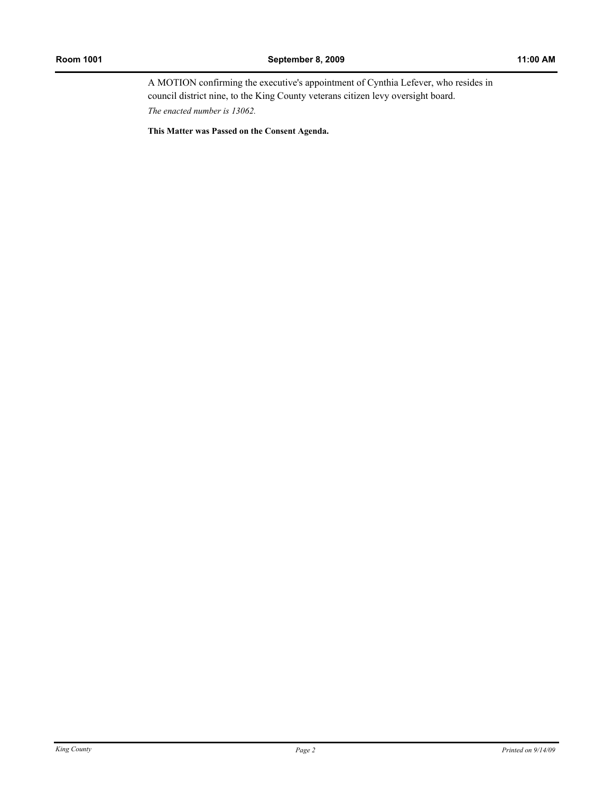A MOTION confirming the executive's appointment of Cynthia Lefever, who resides in council district nine, to the King County veterans citizen levy oversight board. *The enacted number is 13062.*

**This Matter was Passed on the Consent Agenda.**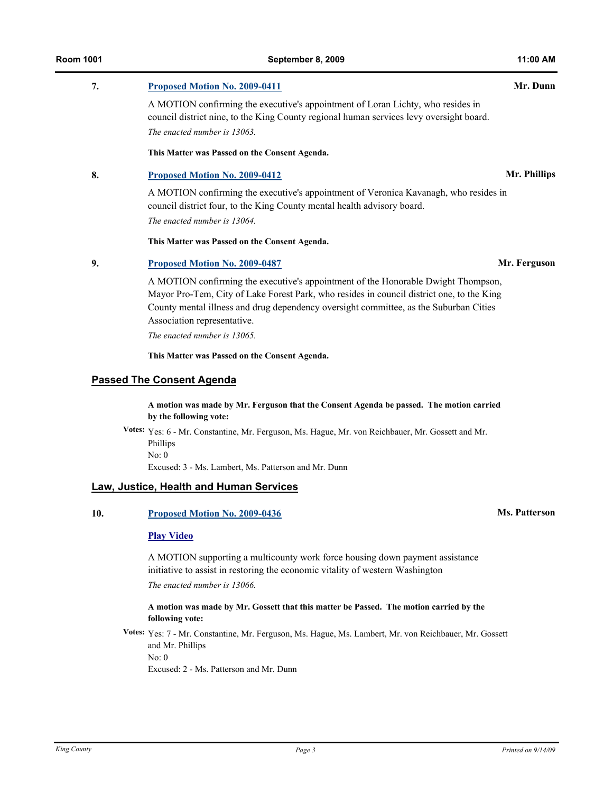# **7. [Proposed Motion No. 2009-0411](http://kingcounty.legistar.com/gateway.aspx?M=L&ID=9919) Mr. Dunn**

A MOTION confirming the executive's appointment of Loran Lichty, who resides in council district nine, to the King County regional human services levy oversight board. *The enacted number is 13063.*

#### **This Matter was Passed on the Consent Agenda.**

### **8. [Proposed Motion No. 2009-0412](http://kingcounty.legistar.com/gateway.aspx?M=L&ID=9921) Mr. Phillips**

A MOTION confirming the executive's appointment of Veronica Kavanagh, who resides in council district four, to the King County mental health advisory board. *The enacted number is 13064.*

**This Matter was Passed on the Consent Agenda.**

#### **9. [Proposed Motion No. 2009-0487](http://kingcounty.legistar.com/gateway.aspx?M=L&ID=10037) Mr. Ferguson**

A MOTION confirming the executive's appointment of the Honorable Dwight Thompson, Mayor Pro-Tem, City of Lake Forest Park, who resides in council district one, to the King County mental illness and drug dependency oversight committee, as the Suburban Cities Association representative.

*The enacted number is 13065.*

**This Matter was Passed on the Consent Agenda.**

# **Passed The Consent Agenda**

**A motion was made by Mr. Ferguson that the Consent Agenda be passed. The motion carried by the following vote:**

**Votes:** Yes: 6 - Mr. Constantine, Mr. Ferguson, Ms. Hague, Mr. von Reichbauer, Mr. Gossett and Mr. Phillips No: 0

Excused: 3 - Ms. Lambert, Ms. Patterson and Mr. Dunn

# **Law, Justice, Health and Human Services**

# **10. [Proposed Motion No. 2009-0436](http://kingcounty.legistar.com/gateway.aspx?M=L&ID=9959) Ms. Patterson**

#### **[Play Video](http://mkcclegisearch.kingcounty.gov/medialinkgenerator/index.aspx?meid=1940&hsid=65899)**

A MOTION supporting a multicounty work force housing down payment assistance initiative to assist in restoring the economic vitality of western Washington *The enacted number is 13066.*

### **A motion was made by Mr. Gossett that this matter be Passed. The motion carried by the following vote:**

**Votes:** Yes: 7 - Mr. Constantine, Mr. Ferguson, Ms. Hague, Ms. Lambert, Mr. von Reichbauer, Mr. Gossett and Mr. Phillips No: 0

Excused: 2 - Ms. Patterson and Mr. Dunn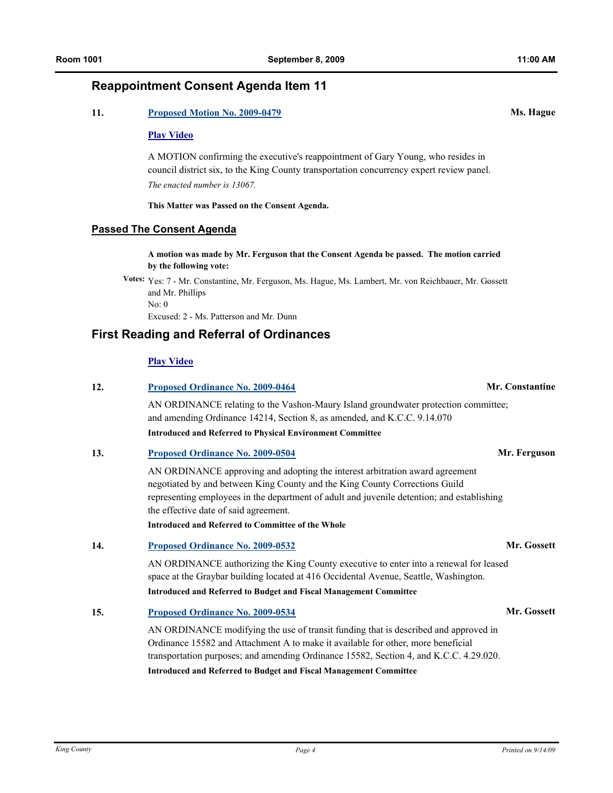# **Reappointment Consent Agenda Item 11**

# **11. [Proposed Motion No. 2009-0479](http://kingcounty.legistar.com/gateway.aspx?M=L&ID=10029) Ms. Hague**

#### **[Play Video](http://mkcclegisearch.kingcounty.gov/medialinkgenerator/index.aspx?meid=1940&hsid=65902)**

A MOTION confirming the executive's reappointment of Gary Young, who resides in council district six, to the King County transportation concurrency expert review panel. *The enacted number is 13067.*

**This Matter was Passed on the Consent Agenda.**

### **Passed The Consent Agenda**

**A motion was made by Mr. Ferguson that the Consent Agenda be passed. The motion carried by the following vote:**

**Votes:** Yes: 7 - Mr. Constantine, Mr. Ferguson, Ms. Hague, Ms. Lambert, Mr. von Reichbauer, Mr. Gossett and Mr. Phillips No: 0

Excused: 2 - Ms. Patterson and Mr. Dunn

# **First Reading and Referral of Ordinances**

# **[Play Video](http://mkcclegisearch.kingcounty.gov/medialinkgenerator/index.aspx?meid=1940&hsid=65905)**

| 12. | <b>Proposed Ordinance No. 2009-0464</b>                                                                                                                                                                                                                                                                                                       | Mr. Constantine |  |  |
|-----|-----------------------------------------------------------------------------------------------------------------------------------------------------------------------------------------------------------------------------------------------------------------------------------------------------------------------------------------------|-----------------|--|--|
|     | AN ORDINANCE relating to the Vashon-Maury Island groundwater protection committee;<br>and amending Ordinance 14214, Section 8, as amended, and K.C.C. 9.14.070                                                                                                                                                                                |                 |  |  |
|     | <b>Introduced and Referred to Physical Environment Committee</b>                                                                                                                                                                                                                                                                              |                 |  |  |
| 13. | Proposed Ordinance No. 2009-0504                                                                                                                                                                                                                                                                                                              | Mr. Ferguson    |  |  |
|     | AN ORDINANCE approving and adopting the interest arbitration award agreement<br>negotiated by and between King County and the King County Corrections Guild<br>representing employees in the department of adult and juvenile detention; and establishing<br>the effective date of said agreement.                                            |                 |  |  |
|     | <b>Introduced and Referred to Committee of the Whole</b>                                                                                                                                                                                                                                                                                      |                 |  |  |
| 14. | Proposed Ordinance No. 2009-0532                                                                                                                                                                                                                                                                                                              | Mr. Gossett     |  |  |
|     | AN ORDINANCE authorizing the King County executive to enter into a renewal for leased<br>space at the Graybar building located at 416 Occidental Avenue, Seattle, Washington.<br>Introduced and Referred to Budget and Fiscal Management Committee                                                                                            |                 |  |  |
| 15. | Proposed Ordinance No. 2009-0534                                                                                                                                                                                                                                                                                                              | Mr. Gossett     |  |  |
|     | AN ORDINANCE modifying the use of transit funding that is described and approved in<br>Ordinance 15582 and Attachment A to make it available for other, more beneficial<br>transportation purposes; and amending Ordinance 15582, Section 4, and K.C.C. 4.29.020.<br><b>Introduced and Referred to Budget and Fiscal Management Committee</b> |                 |  |  |
|     |                                                                                                                                                                                                                                                                                                                                               |                 |  |  |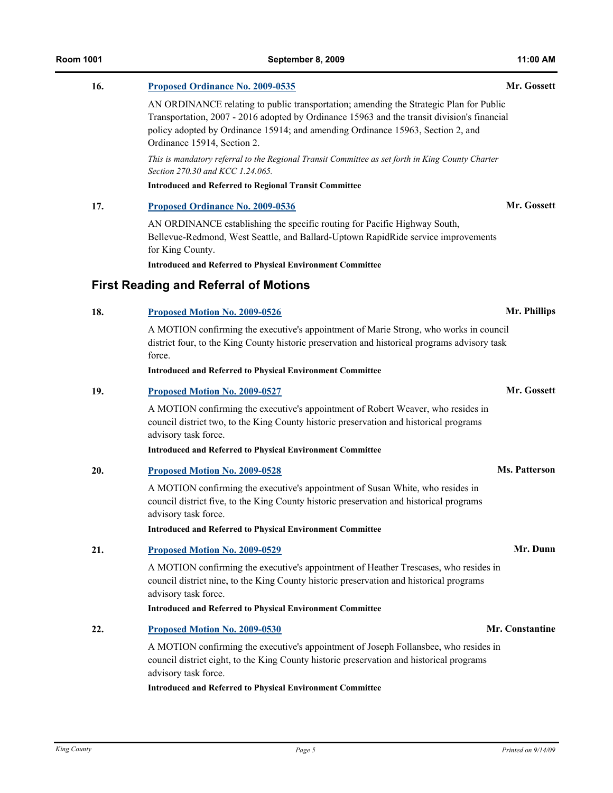| 16. | Proposed Ordinance No. 2009-0535                                                                                                                                                                                                                                                                        | Mr. Gossett          |
|-----|---------------------------------------------------------------------------------------------------------------------------------------------------------------------------------------------------------------------------------------------------------------------------------------------------------|----------------------|
|     | AN ORDINANCE relating to public transportation; amending the Strategic Plan for Public<br>Transportation, 2007 - 2016 adopted by Ordinance 15963 and the transit division's financial<br>policy adopted by Ordinance 15914; and amending Ordinance 15963, Section 2, and<br>Ordinance 15914, Section 2. |                      |
|     | This is mandatory referral to the Regional Transit Committee as set forth in King County Charter<br>Section 270.30 and KCC 1.24.065.                                                                                                                                                                    |                      |
|     | <b>Introduced and Referred to Regional Transit Committee</b>                                                                                                                                                                                                                                            |                      |
| 17. | Proposed Ordinance No. 2009-0536                                                                                                                                                                                                                                                                        | Mr. Gossett          |
|     | AN ORDINANCE establishing the specific routing for Pacific Highway South,<br>Bellevue-Redmond, West Seattle, and Ballard-Uptown RapidRide service improvements<br>for King County.                                                                                                                      |                      |
|     | <b>Introduced and Referred to Physical Environment Committee</b>                                                                                                                                                                                                                                        |                      |
|     | <b>First Reading and Referral of Motions</b>                                                                                                                                                                                                                                                            |                      |
| 18. | Proposed Motion No. 2009-0526                                                                                                                                                                                                                                                                           | Mr. Phillips         |
|     | A MOTION confirming the executive's appointment of Marie Strong, who works in council<br>district four, to the King County historic preservation and historical programs advisory task<br>force.<br><b>Introduced and Referred to Physical Environment Committee</b>                                    |                      |
| 19. | Proposed Motion No. 2009-0527                                                                                                                                                                                                                                                                           | Mr. Gossett          |
|     | A MOTION confirming the executive's appointment of Robert Weaver, who resides in<br>council district two, to the King County historic preservation and historical programs<br>advisory task force.                                                                                                      |                      |
|     | <b>Introduced and Referred to Physical Environment Committee</b>                                                                                                                                                                                                                                        |                      |
| 20. | Proposed Motion No. 2009-0528                                                                                                                                                                                                                                                                           | <b>Ms. Patterson</b> |
|     | A MOTION confirming the executive's appointment of Susan White, who resides in<br>council district five, to the King County historic preservation and historical programs<br>advisory task force.                                                                                                       |                      |
|     | <b>Introduced and Referred to Physical Environment Committee</b>                                                                                                                                                                                                                                        |                      |
| 21. | Proposed Motion No. 2009-0529                                                                                                                                                                                                                                                                           | Mr. Dunn             |
|     | A MOTION confirming the executive's appointment of Heather Trescases, who resides in<br>council district nine, to the King County historic preservation and historical programs<br>advisory task force.                                                                                                 |                      |
|     | <b>Introduced and Referred to Physical Environment Committee</b>                                                                                                                                                                                                                                        |                      |
| 22. | Proposed Motion No. 2009-0530                                                                                                                                                                                                                                                                           | Mr. Constantine      |
|     | A MOTION confirming the executive's appointment of Joseph Follansbee, who resides in<br>council district eight, to the King County historic preservation and historical programs<br>advisory task force.                                                                                                |                      |

**Introduced and Referred to Physical Environment Committee**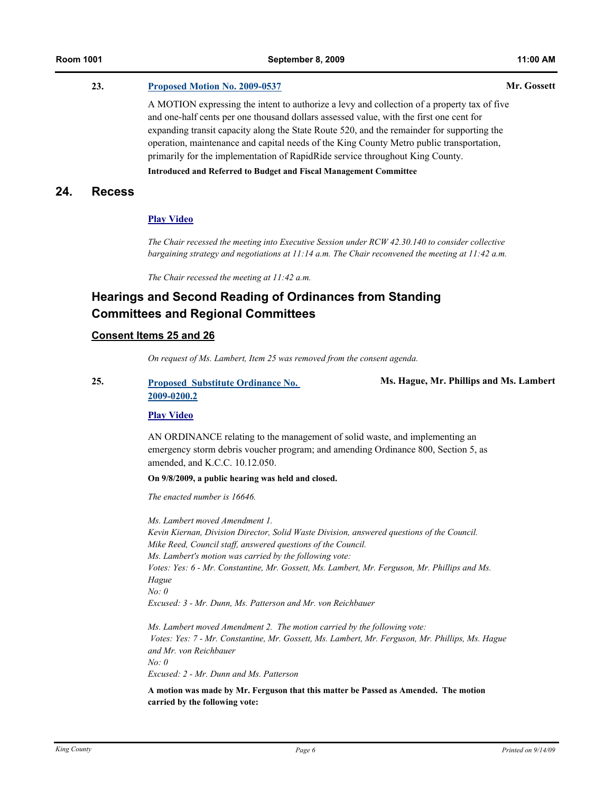# **23. [Proposed Motion No. 2009-0537](http://kingcounty.legistar.com/gateway.aspx?M=L&ID=10110) Mr. Gossett**

A MOTION expressing the intent to authorize a levy and collection of a property tax of five and one-half cents per one thousand dollars assessed value, with the first one cent for expanding transit capacity along the State Route 520, and the remainder for supporting the operation, maintenance and capital needs of the King County Metro public transportation, primarily for the implementation of RapidRide service throughout King County.

### **Introduced and Referred to Budget and Fiscal Management Committee**

# **24. Recess**

### **[Play Video](http://mkcclegisearch.kingcounty.gov/medialinkgenerator/index.aspx?meid=1940&hsid=65911)**

*The Chair recessed the meeting into Executive Session under RCW 42.30.140 to consider collective bargaining strategy and negotiations at 11:14 a.m. The Chair reconvened the meeting at 11:42 a.m.*

*The Chair recessed the meeting at 11:42 a.m.*

# **Hearings and Second Reading of Ordinances from Standing Committees and Regional Committees**

### **Consent Items 25 and 26**

*On request of Ms. Lambert, Item 25 was removed from the consent agenda.*

# **25. [Proposed Substitute Ordinance No.](http://kingcounty.legistar.com/gateway.aspx?M=L&ID=9530)  2009-0200.2**

**Ms. Hague, Mr. Phillips and Ms. Lambert**

#### **[Play Video](http://mkcclegisearch.kingcounty.gov/medialinkgenerator/index.aspx?meid=1940&hsid=65925)**

AN ORDINANCE relating to the management of solid waste, and implementing an emergency storm debris voucher program; and amending Ordinance 800, Section 5, as amended, and K.C.C. 10.12.050.

**On 9/8/2009, a public hearing was held and closed.**

*The enacted number is 16646.*

*Ms. Lambert moved Amendment 1. Kevin Kiernan, Division Director, Solid Waste Division, answered questions of the Council. Mike Reed, Council staff, answered questions of the Council. Ms. Lambert's motion was carried by the following vote: Votes: Yes: 6 - Mr. Constantine, Mr. Gossett, Ms. Lambert, Mr. Ferguson, Mr. Phillips and Ms. Hague No: 0 Excused: 3 - Mr. Dunn, Ms. Patterson and Mr. von Reichbauer* 

*Ms. Lambert moved Amendment 2. The motion carried by the following vote: Votes: Yes: 7 - Mr. Constantine, Mr. Gossett, Ms. Lambert, Mr. Ferguson, Mr. Phillips, Ms. Hague and Mr. von Reichbauer No: 0 Excused: 2 - Mr. Dunn and Ms. Patterson*

**A motion was made by Mr. Ferguson that this matter be Passed as Amended. The motion carried by the following vote:**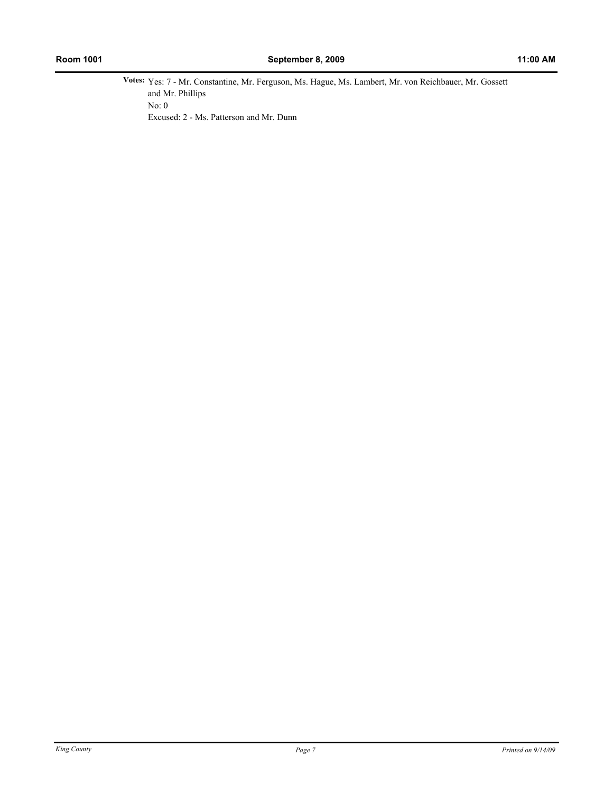**Votes:** Yes: 7 - Mr. Constantine, Mr. Ferguson, Ms. Hague, Ms. Lambert, Mr. von Reichbauer, Mr. Gossett and Mr. Phillips No: 0 Excused: 2 - Ms. Patterson and Mr. Dunn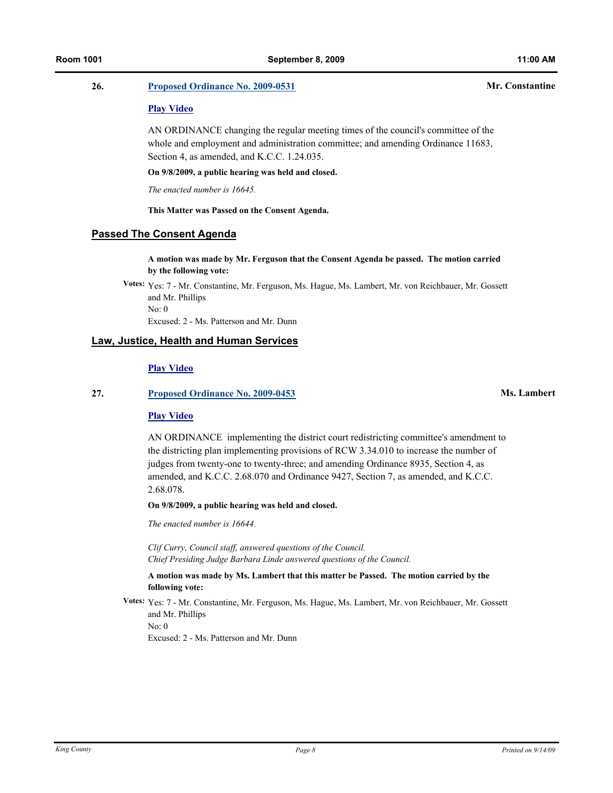### **26. [Proposed Ordinance No. 2009-0531](http://kingcounty.legistar.com/gateway.aspx?M=L&ID=10094) Mr. Constantine**

#### **[Play Video](http://mkcclegisearch.kingcounty.gov/medialinkgenerator/index.aspx?meid=1940&hsid=65921)**

AN ORDINANCE changing the regular meeting times of the council's committee of the whole and employment and administration committee; and amending Ordinance 11683, Section 4, as amended, and K.C.C. 1.24.035.

**On 9/8/2009, a public hearing was held and closed.**

*The enacted number is 16645.*

**This Matter was Passed on the Consent Agenda.**

# **Passed The Consent Agenda**

**A motion was made by Mr. Ferguson that the Consent Agenda be passed. The motion carried by the following vote:**

**Votes:** Yes: 7 - Mr. Constantine, Mr. Ferguson, Ms. Hague, Ms. Lambert, Mr. von Reichbauer, Mr. Gossett and Mr. Phillips No: 0 Excused: 2 - Ms. Patterson and Mr. Dunn

# **Law, Justice, Health and Human Services**

#### **[Play Video](http://mkcclegisearch.kingcounty.gov/medialinkgenerator/index.aspx?meid=1940&hsid=65914)**

#### **27. [Proposed Ordinance No. 2009-0453](http://kingcounty.legistar.com/gateway.aspx?M=L&ID=9991) Ms. Lambert**

#### **[Play Video](http://mkcclegisearch.kingcounty.gov/medialinkgenerator/index.aspx?meid=1940&hsid=65915)**

AN ORDINANCE implementing the district court redistricting committee's amendment to the districting plan implementing provisions of RCW 3.34.010 to increase the number of judges from twenty-one to twenty-three; and amending Ordinance 8935, Section 4, as amended, and K.C.C. 2.68.070 and Ordinance 9427, Section 7, as amended, and K.C.C. 2.68.078.

**On 9/8/2009, a public hearing was held and closed.**

*The enacted number is 16644.*

*Clif Curry, Council staff, answered questions of the Council. Chief Presiding Judge Barbara Linde answered questions of the Council.*

#### **A motion was made by Ms. Lambert that this matter be Passed. The motion carried by the following vote:**

**Votes:** Yes: 7 - Mr. Constantine, Mr. Ferguson, Ms. Hague, Ms. Lambert, Mr. von Reichbauer, Mr. Gossett and Mr. Phillips No: 0 Excused: 2 - Ms. Patterson and Mr. Dunn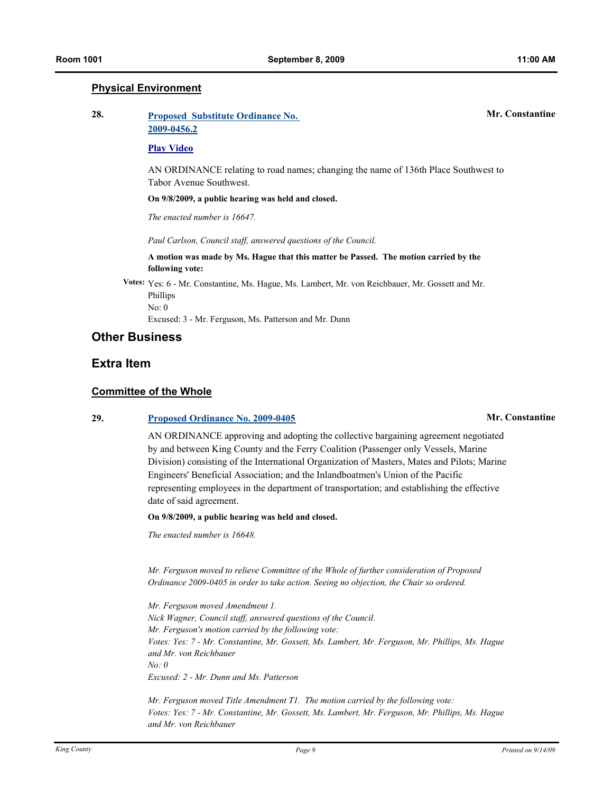# **Physical Environment**

| 28. | <b>Proposed Substitute Ordinance No.</b> | <b>Mr. Constantine</b> |
|-----|------------------------------------------|------------------------|
|     | 2009-0456.2                              |                        |
|     | <b>Play Video</b>                        |                        |

AN ORDINANCE relating to road names; changing the name of 136th Place Southwest to Tabor Avenue Southwest.

**On 9/8/2009, a public hearing was held and closed.**

*The enacted number is 16647.*

*Paul Carlson, Council staff, answered questions of the Council.*

**A motion was made by Ms. Hague that this matter be Passed. The motion carried by the following vote:**

**Votes:** Yes: 6 - Mr. Constantine, Ms. Hague, Ms. Lambert, Mr. von Reichbauer, Mr. Gossett and Mr. Phillips No: 0

Excused: 3 - Mr. Ferguson, Ms. Patterson and Mr. Dunn

# **Other Business**

# **Extra Item**

### **Committee of the Whole**

### **29. [Proposed Ordinance No. 2009-0405](http://kingcounty.legistar.com/gateway.aspx?M=L&ID=9912) Mr. Constantine**

AN ORDINANCE approving and adopting the collective bargaining agreement negotiated by and between King County and the Ferry Coalition (Passenger only Vessels, Marine Division) consisting of the International Organization of Masters, Mates and Pilots; Marine Engineers' Beneficial Association; and the Inlandboatmen's Union of the Pacific representing employees in the department of transportation; and establishing the effective date of said agreement.

**On 9/8/2009, a public hearing was held and closed.**

*The enacted number is 16648.*

*Mr. Ferguson moved to relieve Committee of the Whole of further consideration of Proposed Ordinance 2009-0405 in order to take action. Seeing no objection, the Chair so ordered.*

*Mr. Ferguson moved Amendment 1. Nick Wagner, Council staff, answered questions of the Council. Mr. Ferguson's motion carried by the following vote: Votes: Yes: 7 - Mr. Constantine, Mr. Gossett, Ms. Lambert, Mr. Ferguson, Mr. Phillips, Ms. Hague and Mr. von Reichbauer No: 0 Excused: 2 - Mr. Dunn and Ms. Patterson* 

*Mr. Ferguson moved Title Amendment T1. The motion carried by the following vote: Votes: Yes: 7 - Mr. Constantine, Mr. Gossett, Ms. Lambert, Mr. Ferguson, Mr. Phillips, Ms. Hague and Mr. von Reichbauer*